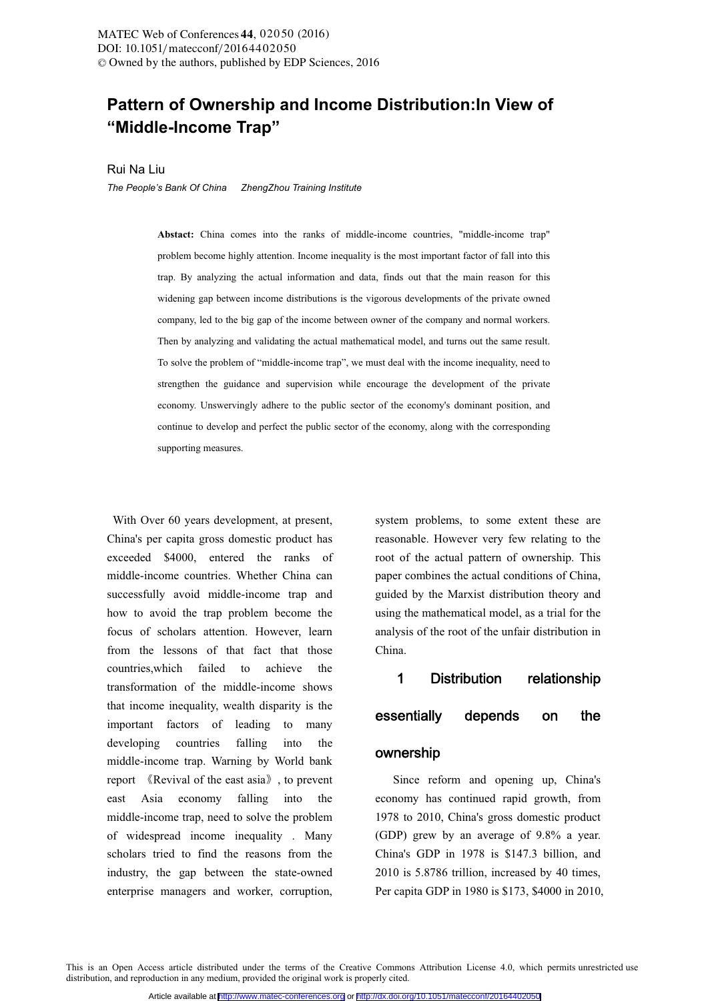# **Pattern of Ownership and Income Distribution:In View of "Middle-Income Trap"**

Rui Na Liu

*The People's Bank Of China ZhengZhou Training Institute* 

**Abstact:** China comes into the ranks of middle-income countries, "middle-income trap" problem become highly attention. Income inequality is the most important factor of fall into this trap. By analyzing the actual information and data, finds out that the main reason for this widening gap between income distributions is the vigorous developments of the private owned company, led to the big gap of the income between owner of the company and normal workers. Then by analyzing and validating the actual mathematical model, and turns out the same result. To solve the problem of "middle-income trap", we must deal with the income inequality, need to strengthen the guidance and supervision while encourage the development of the private economy. Unswervingly adhere to the public sector of the economy's dominant position, and continue to develop and perfect the public sector of the economy, along with the corresponding supporting measures.

 With Over 60 years development, at present, China's per capita gross domestic product has exceeded \$4000, entered the ranks of middle-income countries. Whether China can successfully avoid middle-income trap and how to avoid the trap problem become the focus of scholars attention. However, learn from the lessons of that fact that those countries,which failed to achieve the transformation of the middle-income shows that income inequality, wealth disparity is the important factors of leading to many developing countries falling into the middle-income trap. Warning by World bank report 《Revival of the east asia》, to prevent east Asia economy falling into the middle-income trap, need to solve the problem of widespread income inequality . Many scholars tried to find the reasons from the industry, the gap between the state-owned enterprise managers and worker, corruption,

system problems, to some extent these are reasonable. However very few relating to the root of the actual pattern of ownership. This paper combines the actual conditions of China, guided by the Marxist distribution theory and using the mathematical model, as a trial for the analysis of the root of the unfair distribution in China.

## 1 Distribution relationship

### essentially depends on the

### ownership

 Since reform and opening up, China's economy has continued rapid growth, from 1978 to 2010, China's gross domestic product (GDP) grew by an average of 9.8% a year. China's GDP in 1978 is \$147.3 billion, and 2010 is 5.8786 trillion, increased by 40 times, Per capita GDP in 1980 is \$173, \$4000 in 2010,

This is an Open Access article distributed under the terms of the Creative Commons Attribution License 4.0, which permits unrestricted use distribution, and reproduction in any medium, provided the original work is properly cited.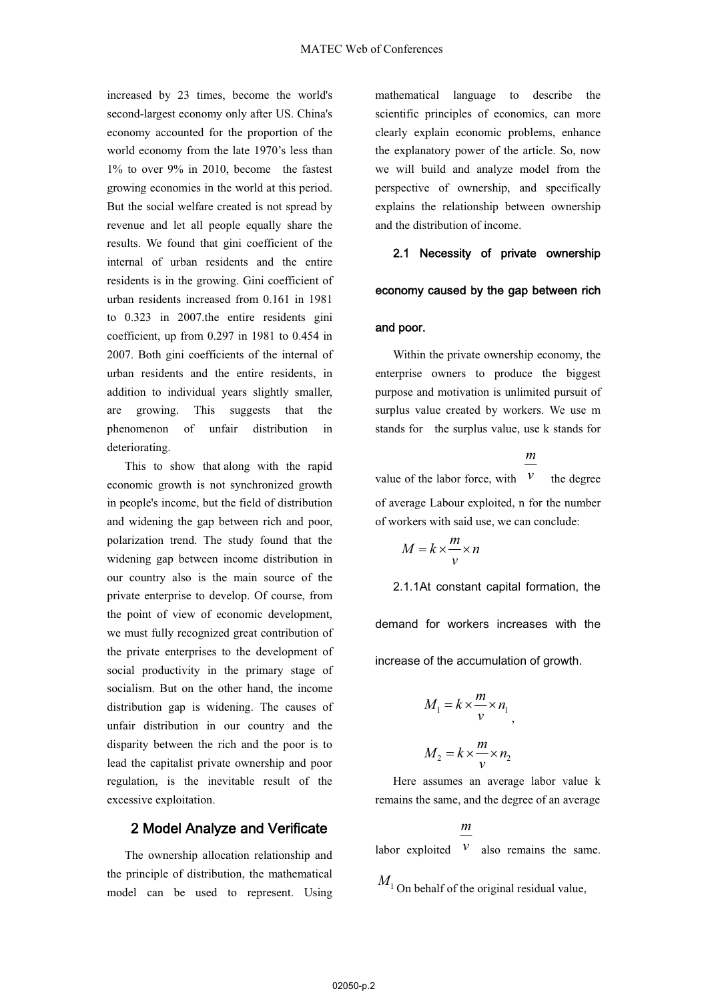increased by 23 times, become the world's second-largest economy only after US. China's economy accounted for the proportion of the world economy from the late 1970's less than 1% to over 9% in 2010, become the fastest growing economies in the world at this period. But the social welfare created is not spread by revenue and let all people equally share the results. We found that gini coefficient of the internal of urban residents and the entire residents is in the growing. Gini coefficient of urban residents increased from 0.161 in 1981 to 0.323 in 2007.the entire residents gini coefficient, up from 0.297 in 1981 to 0.454 in 2007. Both gini coefficients of the internal of urban residents and the entire residents, in addition to individual years slightly smaller, are growing. This suggests that the phenomenon of unfair distribution in deteriorating.

 This to show that along with the rapid economic growth is not synchronized growth in people's income, but the field of distribution and widening the gap between rich and poor, polarization trend. The study found that the widening gap between income distribution in our country also is the main source of the private enterprise to develop. Of course, from the point of view of economic development, we must fully recognized great contribution of the private enterprises to the development of social productivity in the primary stage of socialism. But on the other hand, the income distribution gap is widening. The causes of unfair distribution in our country and the disparity between the rich and the poor is to lead the capitalist private ownership and poor regulation, is the inevitable result of the excessive exploitation.

# 2 Model Analyze and Verificate

 The ownership allocation relationship and the principle of distribution, the mathematical model can be used to represent. Using mathematical language to describe the scientific principles of economics, can more clearly explain economic problems, enhance the explanatory power of the article. So, now we will build and analyze model from the perspective of ownership, and specifically explains the relationship between ownership and the distribution of income.

# 2.1 Necessity of private ownership

### economy caused by the gap between rich

### and poor.

 Within the private ownership economy, the enterprise owners to produce the biggest purpose and motivation is unlimited pursuit of surplus value created by workers. We use m stands for the surplus value, use k stands for

value of the labor force, with *m* the degree of average Labour exploited, n for the number of workers with said use, we can conclude:

$$
M = k \times \frac{m}{v} \times n
$$

2.1.1At constant capital formation, the demand for workers increases with the

LQFUHDVHRIWKHDFFXPXODWLRQRIJURZWK

$$
M_1 = k \times \frac{m}{v} \times n_1
$$

$$
M_2 = k \times \frac{m}{v} \times n_2
$$

*v* Here assumes an average labor value k remains the same, and the degree of an average

labor exploited *m v* also remains the same.

 $M_1$  On behalf of the original residual value,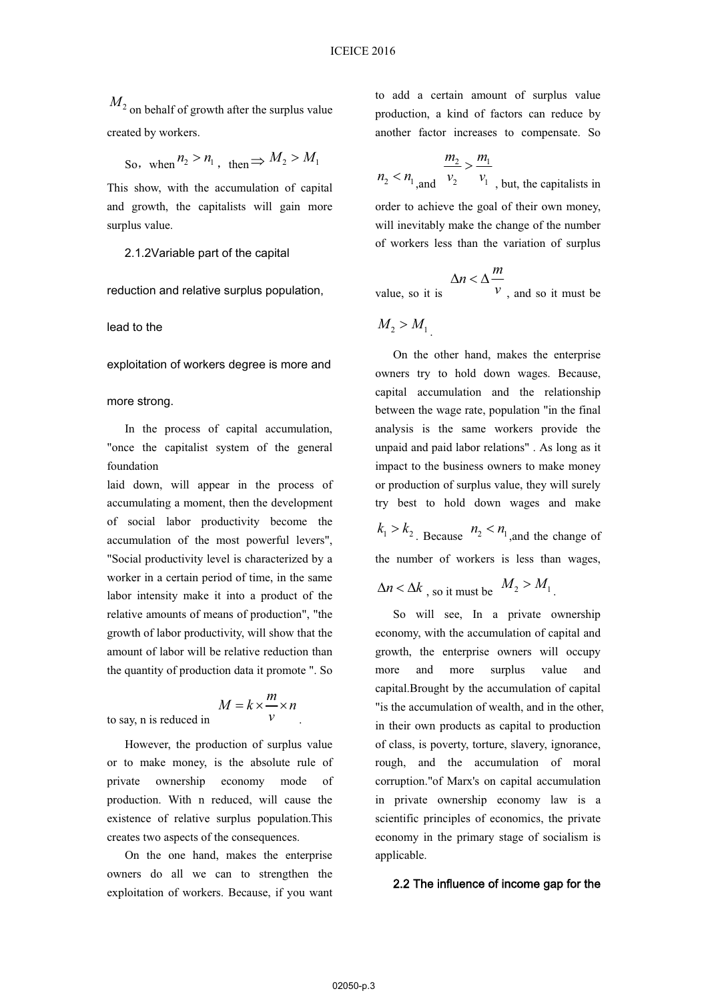*M*<sup>2</sup> on behalf of growth after the surplus value created by workers.

So, when  $n_2 > n_1$ , then  $\Rightarrow$   $M_2 > M_1$ 

This show, with the accumulation of capital and growth, the capitalists will gain more surplus value.

2.1.2Variable part of the capital

reduction and relative surplus population,

lead to the

exploitation of workers degree is more and

more strong.

 In the process of capital accumulation, "once the capitalist system of the general foundation

laid down, will appear in the process of accumulating a moment, then the development of social labor productivity become the accumulation of the most powerful levers", "Social productivity level is characterized by a worker in a certain period of time, in the same labor intensity make it into a product of the relative amounts of means of production", "the growth of labor productivity, will show that the amount of labor will be relative reduction than the quantity of production data it promote ". So

$$
M = k \times \frac{m}{v} \times n
$$

.

to say, n is reduced in

 However, the production of surplus value or to make money, is the absolute rule of private ownership economy mode of production. With n reduced, will cause the existence of relative surplus population.This creates two aspects of the consequences.

 On the one hand, makes the enterprise owners do all we can to strengthen the exploitation of workers. Because, if you want to add a certain amount of surplus value production, a kind of factors can reduce by another factor increases to compensate. So

$$
n_2 < n_1 \text{ and } \frac{m_2}{v_2} > \frac{m_1}{v_1}
$$

*v v* , but, the capitalists in order to achieve the goal of their own money, will inevitably make the change of the number of workers less than the variation of surplus

$$
\Delta n < \Delta \frac{m}{v}
$$

value, so it is  $\mathbf{v}$ , and so it must be

 $M_2 > M_1$ 

 On the other hand, makes the enterprise owners try to hold down wages. Because, capital accumulation and the relationship between the wage rate, population "in the final analysis is the same workers provide the unpaid and paid labor relations" . As long as it impact to the business owners to make money or production of surplus value, they will surely try best to hold down wages and make

 $k_1 > k_2$ . Because  $n_2 < n_1$ , and the change of the number of workers is less than wages,

 $\Delta n < \Delta k$ , so it must be  $M_2 > M_1$ .

 So will see, In a private ownership economy, with the accumulation of capital and growth, the enterprise owners will occupy more and more surplus value and capital.Brought by the accumulation of capital "is the accumulation of wealth, and in the other, in their own products as capital to production of class, is poverty, torture, slavery, ignorance, rough, and the accumulation of moral corruption."of Marx's on capital accumulation in private ownership economy law is a scientific principles of economics, the private economy in the primary stage of socialism is applicable.

### 2.2 The influence of income gap for the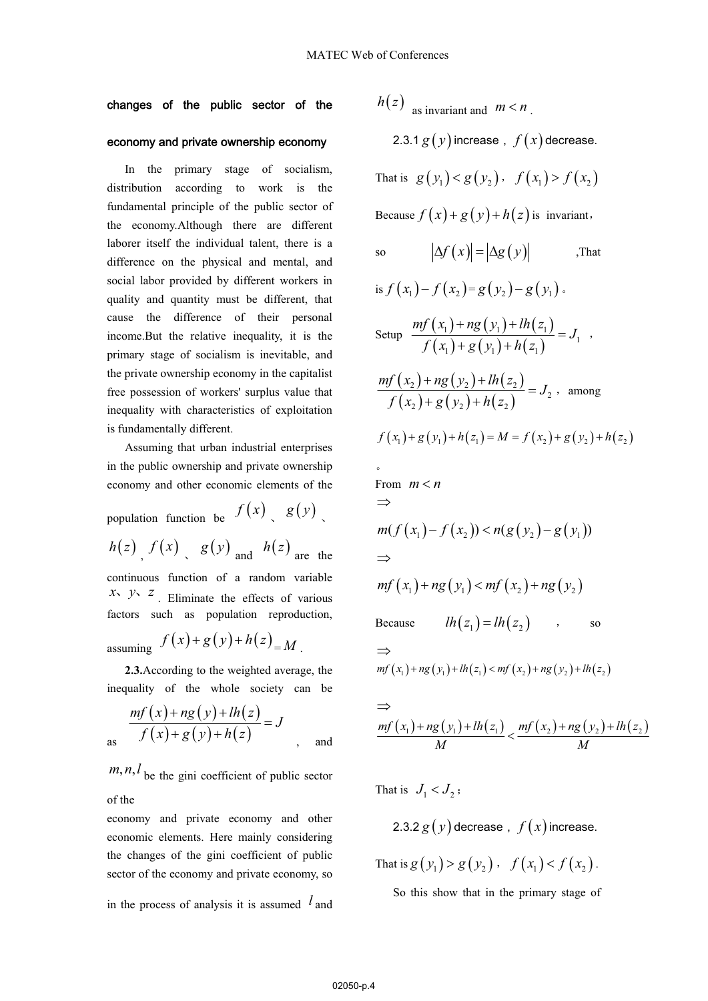### changes of the public sector of the

### economy and private ownership economy

 In the primary stage of socialism, distribution according to work is the fundamental principle of the public sector of the economy.Although there are different laborer itself the individual talent, there is a difference on the physical and mental, and social labor provided by different workers in quality and quantity must be different, that cause the difference of their personal income.But the relative inequality, it is the primary stage of socialism is inevitable, and the private ownership economy in the capitalist free possession of workers' surplus value that inequality with characteristics of exploitation is fundamentally different.

 Assuming that urban industrial enterprises in the public ownership and private ownership economy and other economic elements of the

population function be  $f(x)$   $g(y)$  $h(z)$   $f(x)$   $g(y)$  and  $h(z)$  are the continuous function of a random variable  $x_1$ ,  $y_2$ ,  $z_1$ . Eliminate the effects of various factors such as population reproduction, assuming  $f(x)+g(y)+h(z)$  $\lambda^{(n)} = M$ .

 **2.3.**According to the weighted average, the inequality of the whole society can be

$$
\frac{mf(x) + ng(y) + lh(z)}{f(x) + g(y) + h(z)} = J
$$
 and

 $m, n, l$  be the gini coefficient of public sector of the

economy and private economy and other economic elements. Here mainly considering the changes of the gini coefficient of public sector of the economy and private economy, so

in the process of analysis it is assumed *l* and

 $h(z)$  as invariant and  $m < n$ .

2.3.1  $g(y)$  increase,  $f(x)$  decrease.

That is  $g(y_1) < g(y_2)$ ,  $f(x_1) > f(x_2)$ 

Because  $f(x) + g(y) + h(z)$  is invariant,

so 
$$
|\Delta f(x)| = |\Delta g(y)|
$$
, That

is 
$$
f(x_1) - f(x_2) = g(y_2) - g(y_1)
$$
.  
\nSetup  $\frac{mf(x_1) + ng(y_1) + lh(z_1)}{g(x_1) - g(x_2) - g(x_1)} = J_1$ 

Setup 
$$
\frac{my(x_1) + ng(y_1) + ln(2_1)}{f(x_1) + g(y_1) + h(z_1)} = J_1
$$
,

$$
\frac{mf(x_2) + ng(y_2) + lh(z_2)}{f(x_2) + g(y_2) + h(z_2)} = J_2
$$
, among

$$
f(x_1) + g(y_1) + h(z_1) = M = f(x_2) + g(y_2) + h(z_2)
$$

$$
\text{From } m < n
$$
\n
$$
\Rightarrow
$$
\n
$$
m(f(x_1) - f(x_2)) < n(g(y_2) - g(y_1))
$$
\n
$$
\Rightarrow
$$
\n
$$
mf(x_1) + ng(y_1) < mf(x_2) + ng(y_2)
$$
\nBecause\n
$$
lh(z_1) = lh(z_2) \quad \text{so}
$$
\n
$$
\Rightarrow
$$
\n
$$
mf(x_1) + ng(y_1) + lh(z_1) < mf(x_2) + ng(y_2) + lh(z_2)
$$

$$
\frac{\Rightarrow}{mf(x_1)+ng(y_1)+lh(z_1)} \leq \frac{mf(x_2)+ng(y_2)+lh(z_2)}{M}
$$

That is  $J_1 < J_2$ ;

2.3.2 
$$
g(y)
$$
 decrease,  $f(x)$  increase.

That is  $g(y_1) > g(y_2)$ ,  $f(x_1) < f(x_2)$ .

So this show that in the primary stage of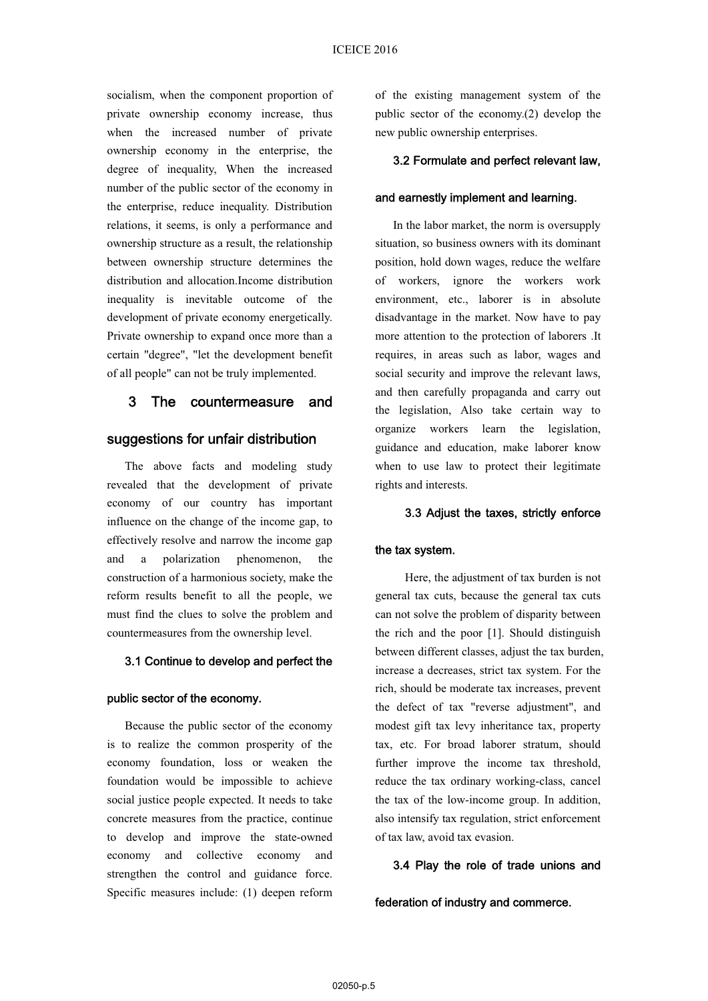socialism, when the component proportion of private ownership economy increase, thus when the increased number of private ownership economy in the enterprise, the degree of inequality, When the increased number of the public sector of the economy in the enterprise, reduce inequality. Distribution relations, it seems, is only a performance and ownership structure as a result, the relationship between ownership structure determines the distribution and allocation.Income distribution inequality is inevitable outcome of the development of private economy energetically. Private ownership to expand once more than a certain "degree", "let the development benefit of all people" can not be truly implemented.

# 3 The countermeasure and

# suggestions for unfair distribution

 The above facts and modeling study revealed that the development of private economy of our country has important influence on the change of the income gap, to effectively resolve and narrow the income gap and a polarization phenomenon, the construction of a harmonious society, make the reform results benefit to all the people, we must find the clues to solve the problem and countermeasures from the ownership level.

# 3.1 Continue to develop and perfect the

#### public sector of the economy.

 Because the public sector of the economy is to realize the common prosperity of the economy foundation, loss or weaken the foundation would be impossible to achieve social justice people expected. It needs to take concrete measures from the practice, continue to develop and improve the state-owned economy and collective economy and strengthen the control and guidance force. Specific measures include: (1) deepen reform

of the existing management system of the public sector of the economy.(2) develop the new public ownership enterprises.

#### 3.2 Formulate and perfect relevant law,

#### and earnestly implement and learning.

 In the labor market, the norm is oversupply situation, so business owners with its dominant position, hold down wages, reduce the welfare of workers, ignore the workers work environment, etc., laborer is in absolute disadvantage in the market. Now have to pay more attention to the protection of laborers .It requires, in areas such as labor, wages and social security and improve the relevant laws, and then carefully propaganda and carry out the legislation, Also take certain way to organize workers learn the legislation, guidance and education, make laborer know when to use law to protect their legitimate rights and interests.

### 3.3 Adjust the taxes, strictly enforce

#### the tax system.

Here, the adjustment of tax burden is not general tax cuts, because the general tax cuts can not solve the problem of disparity between the rich and the poor [1]. Should distinguish between different classes, adjust the tax burden, increase a decreases, strict tax system. For the rich, should be moderate tax increases, prevent the defect of tax "reverse adjustment", and modest gift tax levy inheritance tax, property tax, etc. For broad laborer stratum, should further improve the income tax threshold, reduce the tax ordinary working-class, cancel the tax of the low-income group. In addition, also intensify tax regulation, strict enforcement of tax law, avoid tax evasion.

### 3.4 Play the role of trade unions and

federation of industry and commerce.